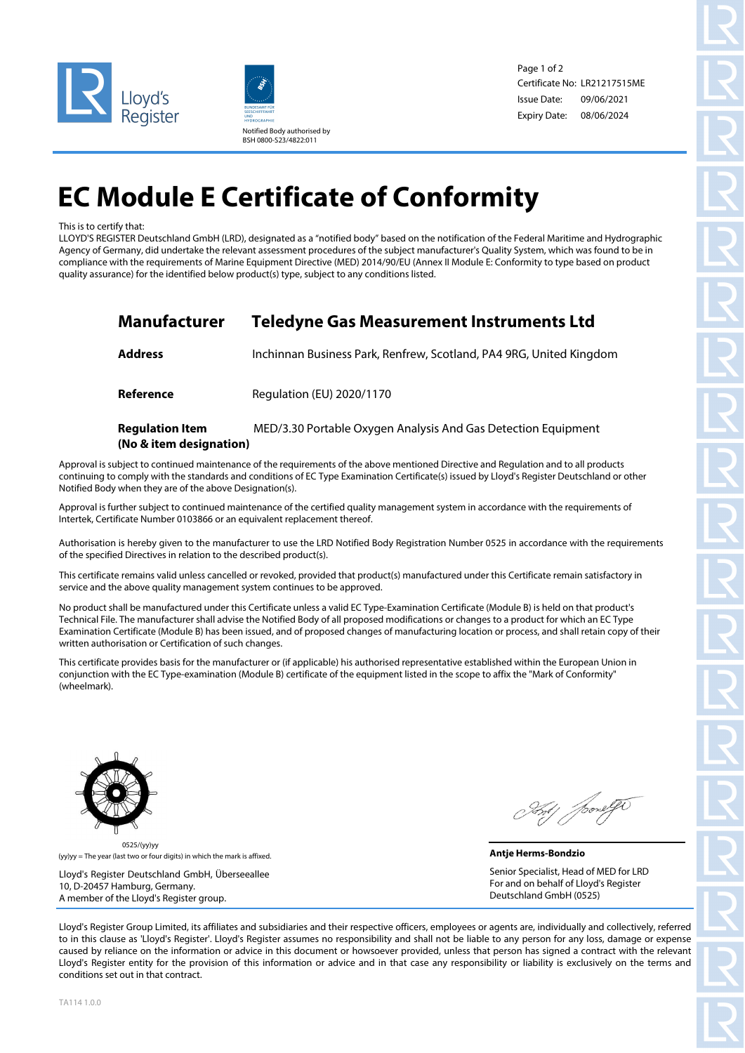



Page 1 of 2 Certificate No: LR21217515ME Issue Date: Expiry Date: 08/06/2024 09/06/2021

## **EC Module E Certificate of Conformity**

## This is to certify that:

LLOYD'S REGISTER Deutschland GmbH (LRD), designated as a "notified body" based on the notification of the Federal Maritime and Hydrographic Agency of Germany, did undertake the relevant assessment procedures of the subject manufacturer's Quality System, which was found to be in compliance with the requirements of Marine Equipment Directive (MED) 2014/90/EU (Annex II Module E: Conformity to type based on product quality assurance) for the identified below product(s) type, subject to any conditions listed.

| Manufacturer                                      | <b>Teledyne Gas Measurement Instruments Ltd</b>                     |  |  |
|---------------------------------------------------|---------------------------------------------------------------------|--|--|
| Address                                           | Inchinnan Business Park, Renfrew, Scotland, PA4 9RG, United Kingdom |  |  |
| Reference                                         | Regulation (EU) 2020/1170                                           |  |  |
| <b>Regulation Item</b><br>(No & item designation) | MED/3.30 Portable Oxygen Analysis And Gas Detection Equipment       |  |  |

Approval is subject to continued maintenance of the requirements of the above mentioned Directive and Regulation and to all products continuing to comply with the standards and conditions of EC Type Examination Certificate(s) issued by Lloyd's Register Deutschland or other Notified Body when they are of the above Designation(s).

Approval is further subject to continued maintenance of the certified quality management system in accordance with the requirements of Intertek, Certificate Number 0103866 or an equivalent replacement thereof.

Authorisation is hereby given to the manufacturer to use the LRD Notified Body Registration Number 0525 in accordance with the requirements of the specified Directives in relation to the described product(s).

This certificate remains valid unless cancelled or revoked, provided that product(s) manufactured under this Certificate remain satisfactory in service and the above quality management system continues to be approved.

No product shall be manufactured under this Certificate unless a valid EC Type-Examination Certificate (Module B) is held on that product's Technical File. The manufacturer shall advise the Notified Body of all proposed modifications or changes to a product for which an EC Type Examination Certificate (Module B) has been issued, and of proposed changes of manufacturing location or process, and shall retain copy of their written authorisation or Certification of such changes.

This certificate provides basis for the manufacturer or (if applicable) his authorised representative established within the European Union in conjunction with the EC Type-examination (Module B) certificate of the equipment listed in the scope to affix the "Mark of Conformity" (wheelmark).



(yy)yy = The year (last two or four digits) in which the mark is affixed. 0525/(yy)yy

Lloyd's Register Deutschland GmbH, Überseeallee 10, D-20457 Hamburg, Germany. A member of the Lloyd's Register group.

**Antje Herms-Bondzio** Senior Specialist, Head of MED for LRD For and on behalf of Lloyd's Register Deutschland GmbH (0525)

Lloyd's Register Group Limited, its affiliates and subsidiaries and their respective officers, employees or agents are, individually and collectively, referred to in this clause as 'Lloyd's Register'. Lloyd's Register assumes no responsibility and shall not be liable to any person for any loss, damage or expense caused by reliance on the information or advice in this document or howsoever provided, unless that person has signed a contract with the relevant Lloyd's Register entity for the provision of this information or advice and in that case any responsibility or liability is exclusively on the terms and conditions set out in that contract.